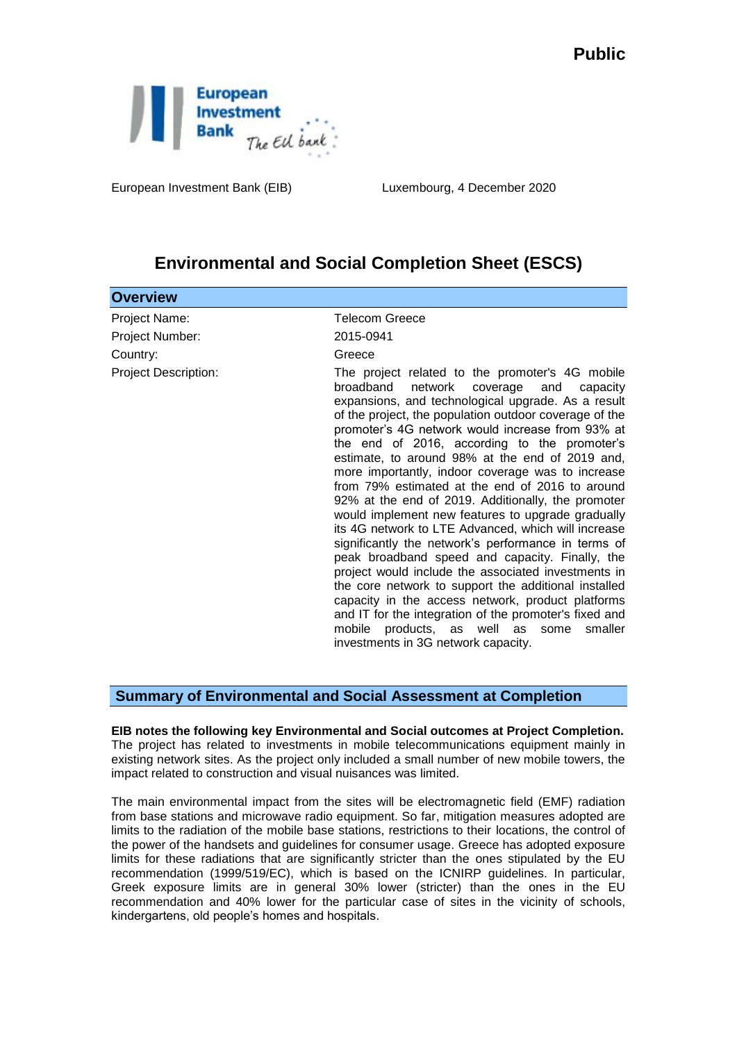

European Investment Bank (EIB) Luxembourg, 4 December 2020

## **Environmental and Social Completion Sheet (ESCS)**

| <b>Overview</b>             |                                                                                                                                                                                                                                                                                                                                                                                                                                                                                                                                                                                                                                                                                                                                                                                                                                                                                                                                                                                                                                                                                          |
|-----------------------------|------------------------------------------------------------------------------------------------------------------------------------------------------------------------------------------------------------------------------------------------------------------------------------------------------------------------------------------------------------------------------------------------------------------------------------------------------------------------------------------------------------------------------------------------------------------------------------------------------------------------------------------------------------------------------------------------------------------------------------------------------------------------------------------------------------------------------------------------------------------------------------------------------------------------------------------------------------------------------------------------------------------------------------------------------------------------------------------|
| Project Name:               | <b>Telecom Greece</b>                                                                                                                                                                                                                                                                                                                                                                                                                                                                                                                                                                                                                                                                                                                                                                                                                                                                                                                                                                                                                                                                    |
| Project Number:             | 2015-0941                                                                                                                                                                                                                                                                                                                                                                                                                                                                                                                                                                                                                                                                                                                                                                                                                                                                                                                                                                                                                                                                                |
| Country:                    | Greece                                                                                                                                                                                                                                                                                                                                                                                                                                                                                                                                                                                                                                                                                                                                                                                                                                                                                                                                                                                                                                                                                   |
| <b>Project Description:</b> | The project related to the promoter's 4G mobile<br>network<br>broadband<br>coverage<br>and<br>capacity<br>expansions, and technological upgrade. As a result<br>of the project, the population outdoor coverage of the<br>promoter's 4G network would increase from 93% at<br>the end of 2016, according to the promoter's<br>estimate, to around 98% at the end of 2019 and,<br>more importantly, indoor coverage was to increase<br>from 79% estimated at the end of 2016 to around<br>92% at the end of 2019. Additionally, the promoter<br>would implement new features to upgrade gradually<br>its 4G network to LTE Advanced, which will increase<br>significantly the network's performance in terms of<br>peak broadband speed and capacity. Finally, the<br>project would include the associated investments in<br>the core network to support the additional installed<br>capacity in the access network, product platforms<br>and IT for the integration of the promoter's fixed and<br>products, as well as some<br>mobile<br>smaller<br>investments in 3G network capacity. |
|                             |                                                                                                                                                                                                                                                                                                                                                                                                                                                                                                                                                                                                                                                                                                                                                                                                                                                                                                                                                                                                                                                                                          |

## **Summary of Environmental and Social Assessment at Completion**

**EIB notes the following key Environmental and Social outcomes at Project Completion.**  The project has related to investments in mobile telecommunications equipment mainly in existing network sites. As the project only included a small number of new mobile towers, the impact related to construction and visual nuisances was limited.

The main environmental impact from the sites will be electromagnetic field (EMF) radiation from base stations and microwave radio equipment. So far, mitigation measures adopted are limits to the radiation of the mobile base stations, restrictions to their locations, the control of the power of the handsets and guidelines for consumer usage. Greece has adopted exposure limits for these radiations that are significantly stricter than the ones stipulated by the EU recommendation (1999/519/EC), which is based on the ICNIRP guidelines. In particular, Greek exposure limits are in general 30% lower (stricter) than the ones in the EU recommendation and 40% lower for the particular case of sites in the vicinity of schools, kindergartens, old people's homes and hospitals.